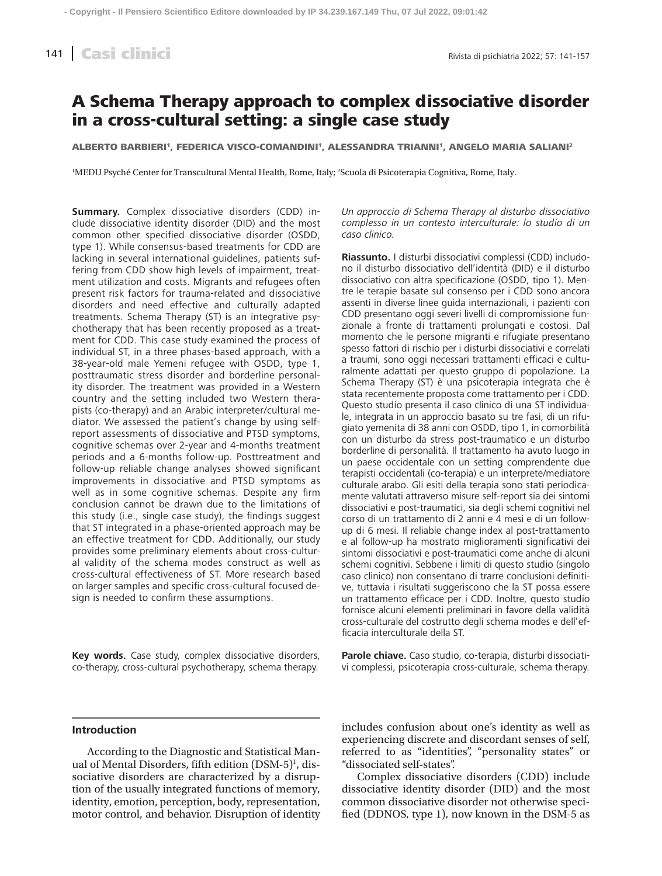# A Schema Therapy approach to complex dissociative disorder in a cross-cultural setting: a single case study

ALBERTO BARBIERI<sup>1</sup>, FEDERICA VISCO-COMANDINI<sup>1</sup>, ALESSANDRA TRIANNI<sup>1</sup>, ANGELO MARIA SALIANI<sup>2</sup>

1 MEDU Psyché Center for Transcultural Mental Health, Rome, Italy; 2 Scuola di Psicoterapia Cognitiva, Rome, Italy.

**Summary.** Complex dissociative disorders (CDD) include dissociative identity disorder (DID) and the most common other specified dissociative disorder (OSDD, type 1). While consensus-based treatments for CDD are lacking in several international guidelines, patients suffering from CDD show high levels of impairment, treatment utilization and costs. Migrants and refugees often present risk factors for trauma-related and dissociative disorders and need effective and culturally adapted treatments. Schema Therapy (ST) is an integrative psychotherapy that has been recently proposed as a treatment for CDD. This case study examined the process of individual ST, in a three phases-based approach, with a 38-year-old male Yemeni refugee with OSDD, type 1, posttraumatic stress disorder and borderline personality disorder. The treatment was provided in a Western country and the setting included two Western therapists (co-therapy) and an Arabic interpreter/cultural mediator. We assessed the patient's change by using selfreport assessments of dissociative and PTSD symptoms, cognitive schemas over 2-year and 4-months treatment periods and a 6-months follow-up. Posttreatment and follow-up reliable change analyses showed significant improvements in dissociative and PTSD symptoms as well as in some cognitive schemas. Despite any firm conclusion cannot be drawn due to the limitations of this study (i.e., single case study), the findings suggest that ST integrated in a phase-oriented approach may be an effective treatment for CDD. Additionally, our study provides some preliminary elements about cross-cultural validity of the schema modes construct as well as cross-cultural effectiveness of ST. More research based on larger samples and specific cross-cultural focused design is needed to confirm these assumptions.

**Key words.** Case study, complex dissociative disorders, co-therapy, cross-cultural psychotherapy, schema therapy.

*Un approccio di Schema Therapy al disturbo dissociativo complesso in un contesto interculturale: lo studio di un caso clinico.*

**Riassunto.** I disturbi dissociativi complessi (CDD) includono il disturbo dissociativo dell'identità (DID) e il disturbo dissociativo con altra specificazione (OSDD, tipo 1). Mentre le terapie basate sul consenso per i CDD sono ancora assenti in diverse linee guida internazionali, i pazienti con CDD presentano oggi severi livelli di compromissione funzionale a fronte di trattamenti prolungati e costosi. Dal momento che le persone migranti e rifugiate presentano spesso fattori di rischio per i disturbi dissociativi e correlati a traumi, sono oggi necessari trattamenti efficaci e culturalmente adattati per questo gruppo di popolazione. La Schema Therapy (ST) è una psicoterapia integrata che è stata recentemente proposta come trattamento per i CDD. Questo studio presenta il caso clinico di una ST individuale, integrata in un approccio basato su tre fasi, di un rifugiato yemenita di 38 anni con OSDD, tipo 1, in comorbilità con un disturbo da stress post-traumatico e un disturbo borderline di personalità. Il trattamento ha avuto luogo in un paese occidentale con un setting comprendente due terapisti occidentali (co-terapia) e un interprete/mediatore culturale arabo. Gli esiti della terapia sono stati periodicamente valutati attraverso misure self-report sia dei sintomi dissociativi e post-traumatici, sia degli schemi cognitivi nel corso di un trattamento di 2 anni e 4 mesi e di un followup di 6 mesi. Il reliable change index al post-trattamento e al follow-up ha mostrato miglioramenti significativi dei sintomi dissociativi e post-traumatici come anche di alcuni schemi cognitivi. Sebbene i limiti di questo studio (singolo caso clinico) non consentano di trarre conclusioni definitive, tuttavia i risultati suggeriscono che la ST possa essere un trattamento efficace per i CDD. Inoltre, questo studio fornisce alcuni elementi preliminari in favore della validità cross-culturale del costrutto degli schema modes e dell'efficacia interculturale della ST.

**Parole chiave.** Caso studio, co-terapia, disturbi dissociativi complessi, psicoterapia cross-culturale, schema therapy.

## **Introduction**

According to the Diagnostic and Statistical Manual of Mental Disorders, fifth edition (DSM-5)<sup>1</sup>, dissociative disorders are characterized by a disruption of the usually integrated functions of memory, identity, emotion, perception, body, representation, motor control, and behavior. Disruption of identity includes confusion about one's identity as well as experiencing discrete and discordant senses of self, referred to as "identities", "personality states" or "dissociated self-states".

Complex dissociative disorders (CDD) include dissociative identity disorder (DID) and the most common dissociative disorder not otherwise specified (DDNOS, type 1), now known in the DSM-5 as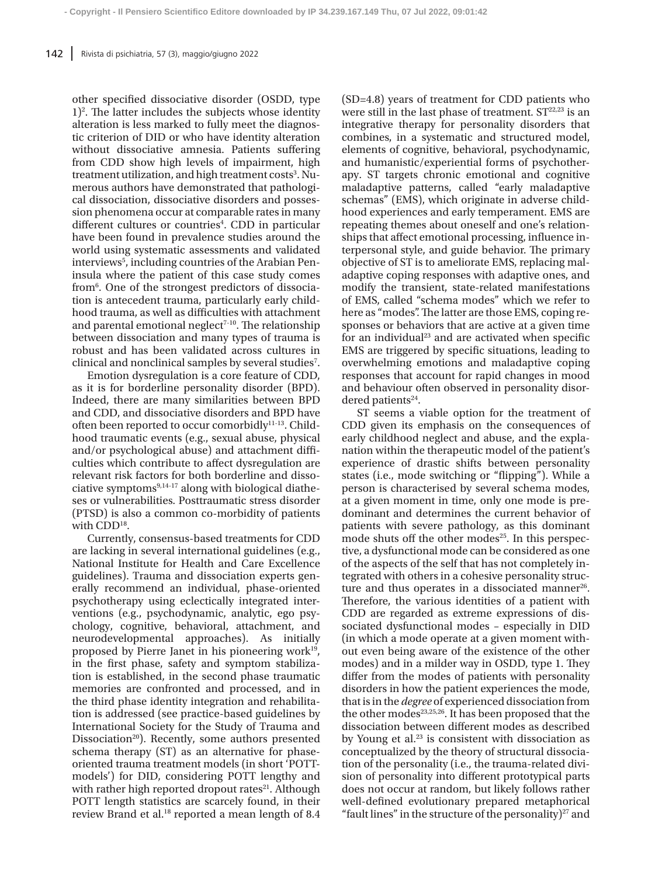other specified dissociative disorder (OSDD, type  $1$ <sup>2</sup>. The latter includes the subjects whose identity alteration is less marked to fully meet the diagnostic criterion of DID or who have identity alteration without dissociative amnesia. Patients suffering from CDD show high levels of impairment, high treatment utilization, and high treatment costs<sup>3</sup>. Numerous authors have demonstrated that pathological dissociation, dissociative disorders and possession phenomena occur at comparable rates in many different cultures or countries<sup>4</sup>. CDD in particular have been found in prevalence studies around the world using systematic assessments and validated interviews<sup>5</sup>, including countries of the Arabian Peninsula where the patient of this case study comes from6 . One of the strongest predictors of dissociation is antecedent trauma, particularly early childhood trauma, as well as difficulties with attachment and parental emotional neglect<sup> $7-10$ </sup>. The relationship between dissociation and many types of trauma is robust and has been validated across cultures in clinical and nonclinical samples by several studies<sup>7</sup>.

Emotion dysregulation is a core feature of CDD, as it is for borderline personality disorder (BPD). Indeed, there are many similarities between BPD and CDD, and dissociative disorders and BPD have often been reported to occur comorbidly<sup>11-13</sup>. Childhood traumatic events (e.g., sexual abuse, physical and/or psychological abuse) and attachment difficulties which contribute to affect dysregulation are relevant risk factors for both borderline and dissociative symptoms $9,14-17$  along with biological diatheses or vulnerabilities. Posttraumatic stress disorder (PTSD) is also a common co-morbidity of patients with CDD<sup>18</sup>.

Currently, consensus-based treatments for CDD are lacking in several international guidelines (e.g., National Institute for Health and Care Excellence guidelines). Trauma and dissociation experts generally recommend an individual, phase-oriented psychotherapy using eclectically integrated interventions (e.g., psychodynamic, analytic, ego psychology, cognitive, behavioral, attachment, and neurodevelopmental approaches). As initially proposed by Pierre Janet in his pioneering work $19$ , in the first phase, safety and symptom stabilization is established, in the second phase traumatic memories are confronted and processed, and in the third phase identity integration and rehabilitation is addressed (see practice-based guidelines by International Society for the Study of Trauma and Dissociation<sup>20</sup>). Recently, some authors presented schema therapy (ST) as an alternative for phaseoriented trauma treatment models (in short 'POTTmodels') for DID, considering POTT lengthy and with rather high reported dropout rates<sup>21</sup>. Although POTT length statistics are scarcely found, in their review Brand et al.<sup>18</sup> reported a mean length of 8.4 (SD=4.8) years of treatment for CDD patients who were still in the last phase of treatment.  $ST^{22,23}$  is an integrative therapy for personality disorders that combines, in a systematic and structured model, elements of cognitive, behavioral, psychodynamic, and humanistic/experiential forms of psychotherapy. ST targets chronic emotional and cognitive maladaptive patterns, called "early maladaptive schemas" (EMS), which originate in adverse childhood experiences and early temperament. EMS are repeating themes about oneself and one's relationships that affect emotional processing, influence interpersonal style, and guide behavior. The primary objective of ST is to ameliorate EMS, replacing maladaptive coping responses with adaptive ones, and modify the transient, state-related manifestations of EMS, called "schema modes" which we refer to here as "modes". The latter are those EMS, coping responses or behaviors that are active at a given time for an individual $23$  and are activated when specific EMS are triggered by specific situations, leading to overwhelming emotions and maladaptive coping responses that account for rapid changes in mood and behaviour often observed in personality disordered patients $24$ .

ST seems a viable option for the treatment of CDD given its emphasis on the consequences of early childhood neglect and abuse, and the explanation within the therapeutic model of the patient's experience of drastic shifts between personality states (i.e., mode switching or "flipping"). While a person is characterised by several schema modes, at a given moment in time, only one mode is predominant and determines the current behavior of patients with severe pathology, as this dominant mode shuts off the other modes $25$ . In this perspective, a dysfunctional mode can be considered as one of the aspects of the self that has not completely integrated with others in a cohesive personality structure and thus operates in a dissociated manner<sup>26</sup>. Therefore, the various identities of a patient with CDD are regarded as extreme expressions of dissociated dysfunctional modes – especially in DID (in which a mode operate at a given moment without even being aware of the existence of the other modes) and in a milder way in OSDD, type 1. They differ from the modes of patients with personality disorders in how the patient experiences the mode, that is in the *degree* of experienced dissociation from the other modes<sup>23,25,26</sup>. It has been proposed that the dissociation between different modes as described by Young et al.<sup>23</sup> is consistent with dissociation as conceptualized by the theory of structural dissociation of the personality (i.e., the trauma-related division of personality into different prototypical parts does not occur at random, but likely follows rather well-defined evolutionary prepared metaphorical "fault lines" in the structure of the personality) $27$  and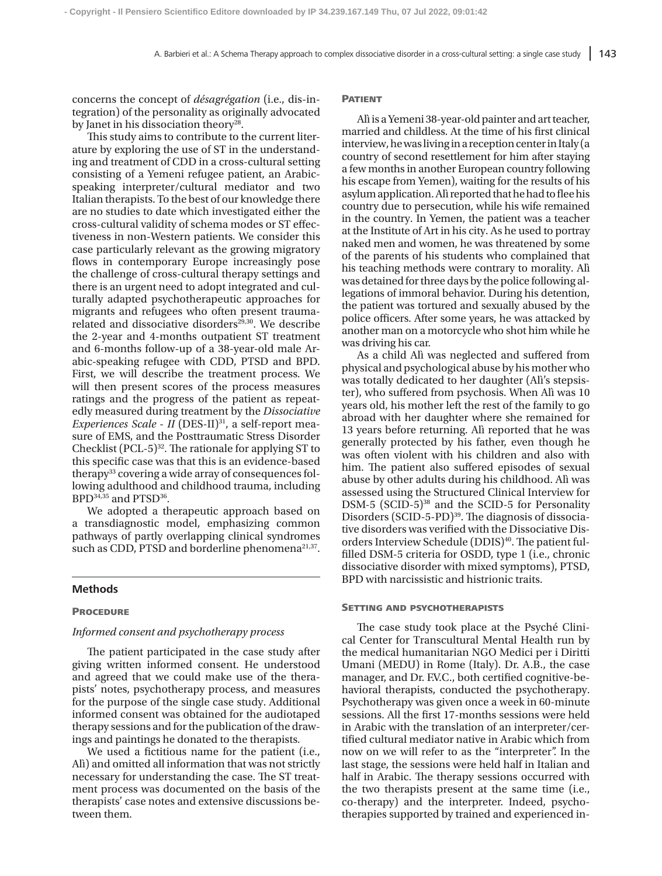concerns the concept of *désagrégation* (i.e., dis-integration) of the personality as originally advocated by Janet in his dissociation theory<sup>28</sup>.

This study aims to contribute to the current literature by exploring the use of ST in the understanding and treatment of CDD in a cross-cultural setting consisting of a Yemeni refugee patient, an Arabicspeaking interpreter/cultural mediator and two Italian therapists. To the best of our knowledge there are no studies to date which investigated either the cross-cultural validity of schema modes or ST effectiveness in non-Western patients. We consider this case particularly relevant as the growing migratory flows in contemporary Europe increasingly pose the challenge of cross-cultural therapy settings and there is an urgent need to adopt integrated and culturally adapted psychotherapeutic approaches for migrants and refugees who often present traumarelated and dissociative disorders<sup>29,30</sup>. We describe the 2-year and 4-months outpatient ST treatment and 6-months follow-up of a 38-year-old male Arabic-speaking refugee with CDD, PTSD and BPD. First, we will describe the treatment process. We will then present scores of the process measures ratings and the progress of the patient as repeatedly measured during treatment by the *Dissociative Experiences Scale* - *II* (DES-II)<sup>31</sup>, a self-report measure of EMS, and the Posttraumatic Stress Disorder Checklist  $(PCL-5)^{32}$ . The rationale for applying ST to this specific case was that this is an evidence-based therapy<sup>33</sup> covering a wide array of consequences following adulthood and childhood trauma, including BPD<sup>34,35</sup> and PTSD<sup>36</sup>.

We adopted a therapeutic approach based on a transdiagnostic model, emphasizing common pathways of partly overlapping clinical syndromes such as CDD, PTSD and borderline phenomena<sup>21,37</sup>.

## **Methods**

#### **PROCEDURE**

#### *Informed consent and psychotherapy process*

The patient participated in the case study after giving written informed consent. He understood and agreed that we could make use of the therapists' notes, psychotherapy process, and measures for the purpose of the single case study. Additional informed consent was obtained for the audiotaped therapy sessions and for the publication of the drawings and paintings he donated to the therapists.

We used a fictitious name for the patient (i.e., Alì) and omitted all information that was not strictly necessary for understanding the case. The ST treatment process was documented on the basis of the therapists' case notes and extensive discussions between them.

#### **PATIENT**

Alì is a Yemeni 38-year-old painter and art teacher, married and childless. At the time of his first clinical interview, he was living in a reception center in Italy (a country of second resettlement for him after staying a few months in another European country following his escape from Yemen), waiting for the results of his asylum application. Alì reported that he had to flee his country due to persecution, while his wife remained in the country. In Yemen, the patient was a teacher at the Institute of Art in his city. As he used to portray naked men and women, he was threatened by some of the parents of his students who complained that his teaching methods were contrary to morality. Alì was detained for three days by the police following allegations of immoral behavior. During his detention, the patient was tortured and sexually abused by the police officers. After some years, he was attacked by another man on a motorcycle who shot him while he was driving his car.

As a child Alì was neglected and suffered from physical and psychological abuse by his mother who was totally dedicated to her daughter (Alì's stepsister), who suffered from psychosis. When Alì was 10 years old, his mother left the rest of the family to go abroad with her daughter where she remained for 13 years before returning. Alì reported that he was generally protected by his father, even though he was often violent with his children and also with him. The patient also suffered episodes of sexual abuse by other adults during his childhood. Alì was assessed using the Structured Clinical Interview for DSM-5 (SCID-5)<sup>38</sup> and the SCID-5 for Personality Disorders (SCID-5-PD)<sup>39</sup>. The diagnosis of dissociative disorders was verified with the Dissociative Disorders Interview Schedule (DDIS)<sup>40</sup>. The patient fulfilled DSM-5 criteria for OSDD, type 1 (i.e., chronic dissociative disorder with mixed symptoms), PTSD, BPD with narcissistic and histrionic traits.

#### **SETTING AND PSYCHOTHERAPISTS**

The case study took place at the Psyché Clinical Center for Transcultural Mental Health run by the medical humanitarian NGO Medici per i Diritti Umani (MEDU) in Rome (Italy). Dr. A.B., the case manager, and Dr. F.V.C., both certified cognitive-behavioral therapists, conducted the psychotherapy. Psychotherapy was given once a week in 60-minute sessions. All the first 17-months sessions were held in Arabic with the translation of an interpreter/certified cultural mediator native in Arabic which from now on we will refer to as the "interpreter". In the last stage, the sessions were held half in Italian and half in Arabic. The therapy sessions occurred with the two therapists present at the same time (i.e., co-therapy) and the interpreter. Indeed, psychotherapies supported by trained and experienced in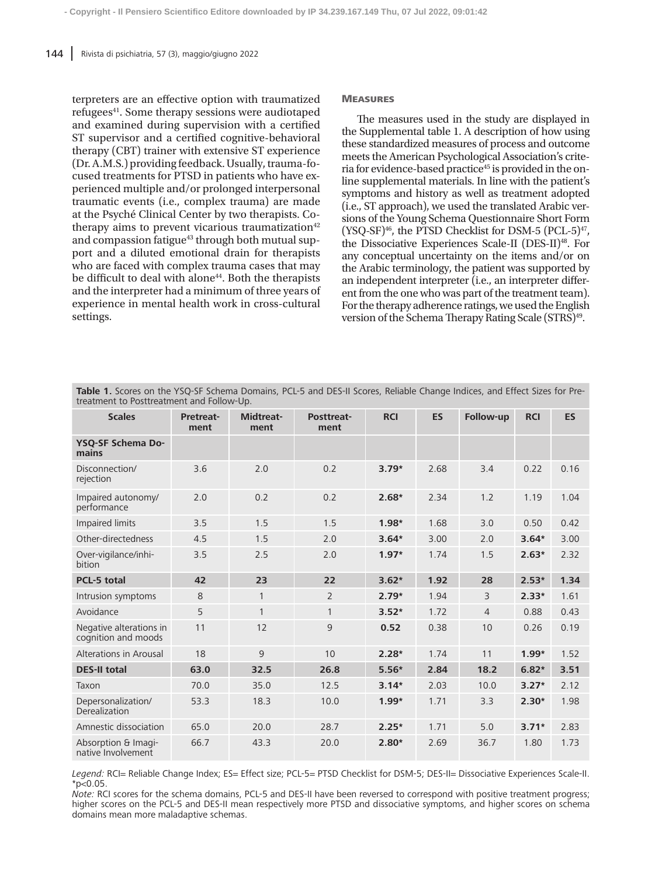terpreters are an effective option with traumatized refugees<sup>41</sup>. Some therapy sessions were audiotaped and examined during supervision with a certified ST supervisor and a certified cognitive-behavioral therapy (CBT) trainer with extensive ST experience (Dr. A.M.S.) providing feedback. Usually, trauma-focused treatments for PTSD in patients who have experienced multiple and/or prolonged interpersonal traumatic events (i.e., complex trauma) are made at the Psyché Clinical Center by two therapists. Cotherapy aims to prevent vicarious traumatization $42$ and compassion fatigue<sup>43</sup> through both mutual support and a diluted emotional drain for therapists who are faced with complex trauma cases that may be difficult to deal with alone<sup>44</sup>. Both the therapists and the interpreter had a minimum of three years of experience in mental health work in cross-cultural settings.

#### **MEASURES**

The measures used in the study are displayed in the Supplemental table 1. A description of how using these standardized measures of process and outcome meets the American Psychological Association's criteria for evidence-based practice<sup>45</sup> is provided in the online supplemental materials. In line with the patient's symptoms and history as well as treatment adopted (i.e., ST approach), we used the translated Arabic versions of the Young Schema Questionnaire Short Form  $(YSQ-SF)^{46}$ , the PTSD Checklist for DSM-5 (PCL-5)<sup>47</sup>, the Dissociative Experiences Scale-II (DES-II)48. For any conceptual uncertainty on the items and/or on the Arabic terminology, the patient was supported by an independent interpreter (i.e., an interpreter different from the one who was part of the treatment team). For the therapy adherence ratings, we used the English version of the Schema Therapy Rating Scale (STRS)<sup>49</sup>.

| <b>Table 1.</b> Scores on the YSQ-SF Schema Domains, PCL-5 and DES-II Scores, Reliable Change Indices, and Effect Sizes for Pre- |  |  |
|----------------------------------------------------------------------------------------------------------------------------------|--|--|
| treatment to Posttreatment and Follow-Up.                                                                                        |  |  |

| <b>Scales</b>                                  | <b>Pretreat-</b><br>ment | Midtreat-<br>ment | <b>Posttreat-</b><br>ment | <b>RCI</b> | <b>ES</b> | Follow-up      | <b>RCI</b> | <b>ES</b> |
|------------------------------------------------|--------------------------|-------------------|---------------------------|------------|-----------|----------------|------------|-----------|
| YSQ-SF Schema Do-<br>mains                     |                          |                   |                           |            |           |                |            |           |
| Disconnection/<br>rejection                    | 3.6                      | 2.0               | 0.2                       | $3.79*$    | 2.68      | 3.4            | 0.22       | 0.16      |
| Impaired autonomy/<br>performance              | 2.0                      | 0.2               | 0.2                       | $2.68*$    | 2.34      | 1.2            | 1.19       | 1.04      |
| Impaired limits                                | 3.5                      | 1.5               | 1.5                       | $1.98*$    | 1.68      | 3.0            | 0.50       | 0.42      |
| Other-directedness                             | 4.5                      | 1.5               | 2.0                       | $3.64*$    | 3.00      | 2.0            | $3.64*$    | 3.00      |
| Over-vigilance/inhi-<br>bition                 | 3.5                      | 2.5               | 2.0                       | $1.97*$    | 1.74      | 1.5            | $2.63*$    | 2.32      |
| <b>PCL-5 total</b>                             | 42                       | 23                | 22                        | $3.62*$    | 1.92      | 28             | $2.53*$    | 1.34      |
| Intrusion symptoms                             | 8                        | $\mathbf{1}$      | $\overline{2}$            | $2.79*$    | 1.94      | $\overline{3}$ | $2.33*$    | 1.61      |
| Avoidance                                      | 5                        | 1                 | $\mathbf{1}$              | $3.52*$    | 1.72      | $\overline{4}$ | 0.88       | 0.43      |
| Negative alterations in<br>cognition and moods | 11                       | 12                | 9                         | 0.52       | 0.38      | 10             | 0.26       | 0.19      |
| Alterations in Arousal                         | 18                       | 9                 | 10                        | $2.28*$    | 1.74      | 11             | $1.99*$    | 1.52      |
| <b>DES-II total</b>                            | 63.0                     | 32.5              | 26.8                      | $5.56*$    | 2.84      | 18.2           | $6.82*$    | 3.51      |
| Taxon                                          | 70.0                     | 35.0              | 12.5                      | $3.14*$    | 2.03      | 10.0           | $3.27*$    | 2.12      |
| Depersonalization/<br>Derealization            | 53.3                     | 18.3              | 10.0                      | $1.99*$    | 1.71      | 3.3            | $2.30*$    | 1.98      |
| Amnestic dissociation                          | 65.0                     | 20.0              | 28.7                      | $2.25*$    | 1.71      | 5.0            | $3.71*$    | 2.83      |
| Absorption & Imagi-<br>native Involvement      | 66.7                     | 43.3              | 20.0                      | $2.80*$    | 2.69      | 36.7           | 1.80       | 1.73      |

*Legend:* RCI= Reliable Change Index; ES= Effect size; PCL-5= PTSD Checklist for DSM-5; DES-II= Dissociative Experiences Scale-II.  $*p<0.05$ .

*Note:* RCI scores for the schema domains, PCL-5 and DES-II have been reversed to correspond with positive treatment progress; higher scores on the PCL-5 and DES-II mean respectively more PTSD and dissociative symptoms, and higher scores on schema domains mean more maladaptive schemas.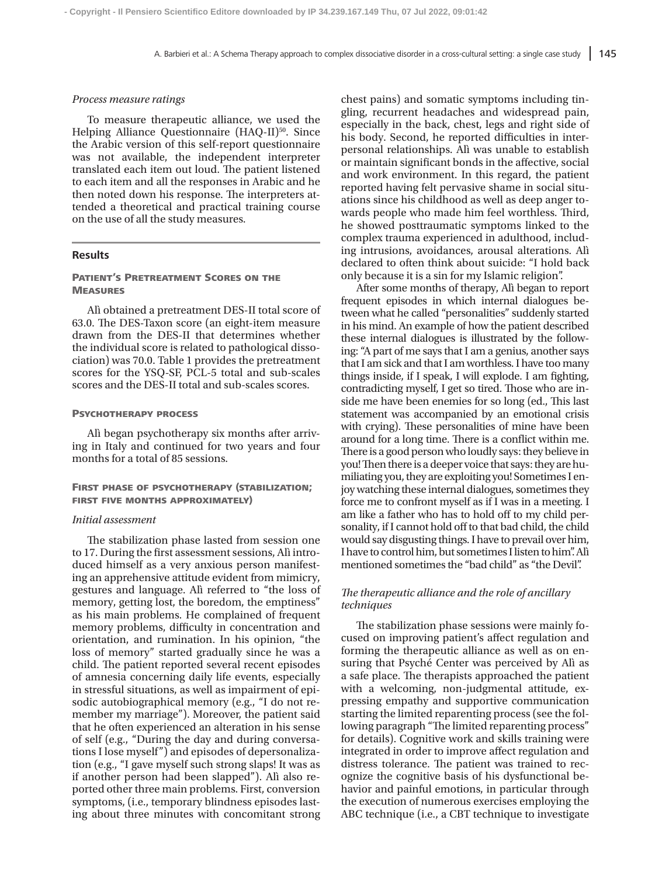#### *Process measure ratings*

To measure therapeutic alliance, we used the Helping Alliance Questionnaire (HAQ-II)<sup>50</sup>. Since the Arabic version of this self-report questionnaire was not available, the independent interpreter translated each item out loud. The patient listened to each item and all the responses in Arabic and he then noted down his response. The interpreters attended a theoretical and practical training course on the use of all the study measures.

# **Results**

# Patient's Pretreatment Scores on the **MEASURES**

Alì obtained a pretreatment DES-II total score of 63.0. The DES-Taxon score (an eight-item measure drawn from the DES-II that determines whether the individual score is related to pathological dissociation) was 70.0. Table 1 provides the pretreatment scores for the YSQ-SF, PCL-5 total and sub-scales scores and the DES-II total and sub-scales scores.

#### PSYCHOTHERAPY PROCESS

Alì began psychotherapy six months after arriving in Italy and continued for two years and four months for a total of 85 sessions.

# FIRST PHASE OF PSYCHOTHERAPY (STABILIZATION; first five months approximately)

## *Initial assessment*

The stabilization phase lasted from session one to 17. During the first assessment sessions, Alì introduced himself as a very anxious person manifesting an apprehensive attitude evident from mimicry, gestures and language. Alì referred to "the loss of memory, getting lost, the boredom, the emptiness" as his main problems. He complained of frequent memory problems, difficulty in concentration and orientation, and rumination. In his opinion, "the loss of memory" started gradually since he was a child. The patient reported several recent episodes of amnesia concerning daily life events, especially in stressful situations, as well as impairment of episodic autobiographical memory (e.g., "I do not remember my marriage"). Moreover, the patient said that he often experienced an alteration in his sense of self (e.g., "During the day and during conversations I lose myself") and episodes of depersonalization (e.g., "I gave myself such strong slaps! It was as if another person had been slapped"). Alì also reported other three main problems. First, conversion symptoms, (i.e., temporary blindness episodes lasting about three minutes with concomitant strong chest pains) and somatic symptoms including tingling, recurrent headaches and widespread pain, especially in the back, chest, legs and right side of his body. Second, he reported difficulties in interpersonal relationships. Alì was unable to establish or maintain significant bonds in the affective, social and work environment. In this regard, the patient reported having felt pervasive shame in social situations since his childhood as well as deep anger towards people who made him feel worthless. Third, he showed posttraumatic symptoms linked to the complex trauma experienced in adulthood, including intrusions, avoidances, arousal alterations. Alì declared to often think about suicide: "I hold back only because it is a sin for my Islamic religion".

After some months of therapy, Alì began to report frequent episodes in which internal dialogues between what he called "personalities" suddenly started in his mind. An example of how the patient described these internal dialogues is illustrated by the following: "A part of me says that I am a genius, another says that I am sick and that I am worthless. I have too many things inside, if I speak, I will explode. I am fighting, contradicting myself, I get so tired. Those who are inside me have been enemies for so long (ed., This last statement was accompanied by an emotional crisis with crying). These personalities of mine have been around for a long time. There is a conflict within me. There is a good person who loudly says: they believe in you! Then there is a deeper voice that says: they are humiliating you, they are exploiting you! Sometimes I enjoy watching these internal dialogues, sometimes they force me to confront myself as if I was in a meeting. I am like a father who has to hold off to my child personality, if I cannot hold off to that bad child, the child would say disgusting things. I have to prevail over him, I have to control him, but sometimes I listen to him". Alì mentioned sometimes the "bad child" as "the Devil".

# *The therapeutic alliance and the role of ancillary techniques*

The stabilization phase sessions were mainly focused on improving patient's affect regulation and forming the therapeutic alliance as well as on ensuring that Psyché Center was perceived by Alì as a safe place. The therapists approached the patient with a welcoming, non-judgmental attitude, expressing empathy and supportive communication starting the limited reparenting process (see the following paragraph "The limited reparenting process" for details). Cognitive work and skills training were integrated in order to improve affect regulation and distress tolerance. The patient was trained to recognize the cognitive basis of his dysfunctional behavior and painful emotions, in particular through the execution of numerous exercises employing the ABC technique (i.e., a CBT technique to investigate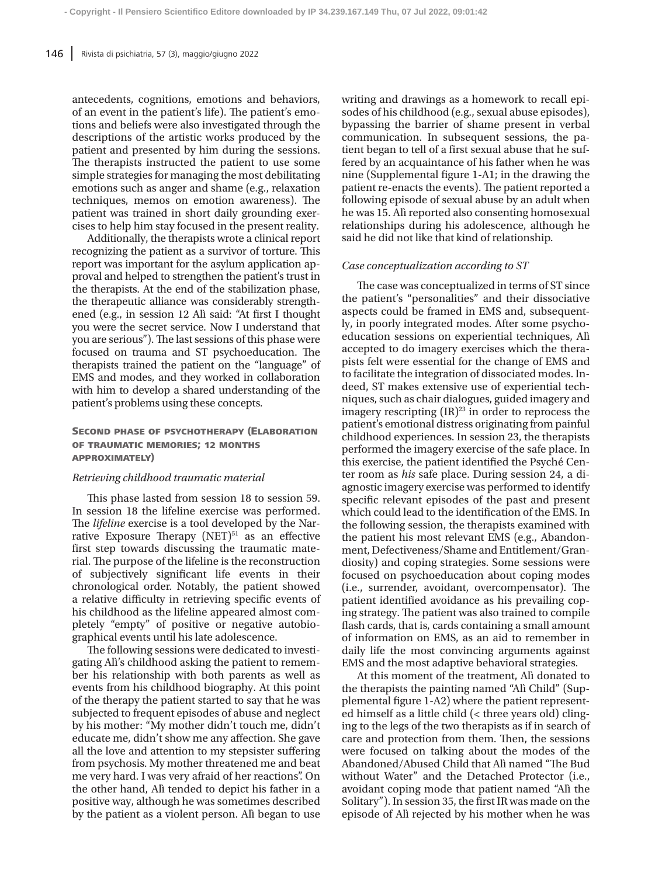antecedents, cognitions, emotions and behaviors, of an event in the patient's life). The patient's emotions and beliefs were also investigated through the descriptions of the artistic works produced by the patient and presented by him during the sessions. The therapists instructed the patient to use some simple strategies for managing the most debilitating emotions such as anger and shame (e.g., relaxation techniques, memos on emotion awareness). The patient was trained in short daily grounding exercises to help him stay focused in the present reality.

Additionally, the therapists wrote a clinical report recognizing the patient as a survivor of torture. This report was important for the asylum application approval and helped to strengthen the patient's trust in the therapists. At the end of the stabilization phase, the therapeutic alliance was considerably strengthened (e.g., in session 12 Alì said: "At first I thought you were the secret service. Now I understand that you are serious"). The last sessions of this phase were focused on trauma and ST psychoeducation. The therapists trained the patient on the "language" of EMS and modes, and they worked in collaboration with him to develop a shared understanding of the patient's problems using these concepts.

# Second phase of psychotherapy (Elaboration of traumatic memories; 12 months approximately)

#### *Retrieving childhood traumatic material*

This phase lasted from session 18 to session 59. In session 18 the lifeline exercise was performed. The *lifeline* exercise is a tool developed by the Narrative Exposure Therapy  $(NET)^{51}$  as an effective first step towards discussing the traumatic material. The purpose of the lifeline is the reconstruction of subjectively significant life events in their chronological order. Notably, the patient showed a relative difficulty in retrieving specific events of his childhood as the lifeline appeared almost completely "empty" of positive or negative autobiographical events until his late adolescence.

The following sessions were dedicated to investigating Alì's childhood asking the patient to remember his relationship with both parents as well as events from his childhood biography. At this point of the therapy the patient started to say that he was subjected to frequent episodes of abuse and neglect by his mother: "My mother didn't touch me, didn't educate me, didn't show me any affection. She gave all the love and attention to my stepsister suffering from psychosis. My mother threatened me and beat me very hard. I was very afraid of her reactions". On the other hand, Alì tended to depict his father in a positive way, although he was sometimes described by the patient as a violent person. Alì began to use

writing and drawings as a homework to recall episodes of his childhood (e.g., sexual abuse episodes), bypassing the barrier of shame present in verbal communication. In subsequent sessions, the patient began to tell of a first sexual abuse that he suffered by an acquaintance of his father when he was nine (Supplemental figure 1-A1; in the drawing the patient re-enacts the events). The patient reported a following episode of sexual abuse by an adult when he was 15. Alì reported also consenting homosexual relationships during his adolescence, although he said he did not like that kind of relationship.

#### *Case conceptualization according to ST*

The case was conceptualized in terms of ST since the patient's "personalities" and their dissociative aspects could be framed in EMS and, subsequently, in poorly integrated modes. After some psychoeducation sessions on experiential techniques, Alì accepted to do imagery exercises which the therapists felt were essential for the change of EMS and to facilitate the integration of dissociated modes. Indeed, ST makes extensive use of experiential techniques, such as chair dialogues, guided imagery and imagery rescripting  $(IR)^{23}$  in order to reprocess the patient's emotional distress originating from painful childhood experiences. In session 23, the therapists performed the imagery exercise of the safe place. In this exercise, the patient identified the Psyché Center room as *his* safe place. During session 24, a diagnostic imagery exercise was performed to identify specific relevant episodes of the past and present which could lead to the identification of the EMS. In the following session, the therapists examined with the patient his most relevant EMS (e.g., Abandonment, Defectiveness/Shame and Entitlement/Grandiosity) and coping strategies. Some sessions were focused on psychoeducation about coping modes (i.e., surrender, avoidant, overcompensator). The patient identified avoidance as his prevailing coping strategy. The patient was also trained to compile flash cards, that is, cards containing a small amount of information on EMS, as an aid to remember in daily life the most convincing arguments against EMS and the most adaptive behavioral strategies.

At this moment of the treatment, Alì donated to the therapists the painting named "Alì Child" (Supplemental figure 1-A2) where the patient represented himself as a little child (< three years old) clinging to the legs of the two therapists as if in search of care and protection from them. Then, the sessions were focused on talking about the modes of the Abandoned/Abused Child that Alì named "The Bud without Water" and the Detached Protector (i.e., avoidant coping mode that patient named "Alì the Solitary"). In session 35, the first IR was made on the episode of Alì rejected by his mother when he was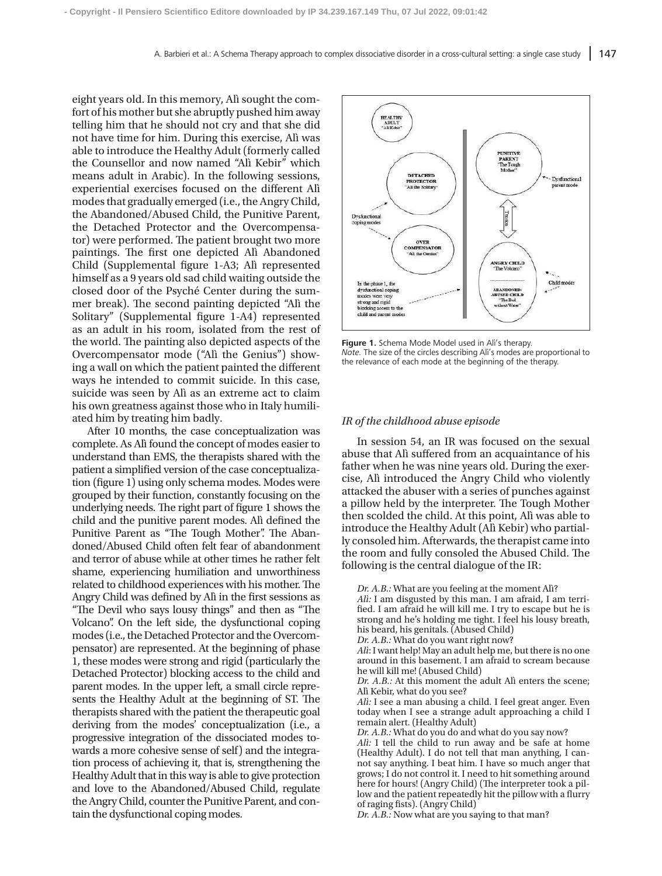eight years old. In this memory, Alì sought the comfort of his mother but she abruptly pushed him away telling him that he should not cry and that she did not have time for him. During this exercise, Alì was able to introduce the Healthy Adult (formerly called the Counsellor and now named "Alì Kebir" which means adult in Arabic). In the following sessions, experiential exercises focused on the different Alì modes that gradually emerged (i.e., the Angry Child, the Abandoned/Abused Child, the Punitive Parent, the Detached Protector and the Overcompensator) were performed. The patient brought two more paintings. The first one depicted Alì Abandoned Child (Supplemental figure 1-A3; Alì represented himself as a 9 years old sad child waiting outside the closed door of the Psyché Center during the summer break). The second painting depicted "Alì the Solitary" (Supplemental figure 1-A4) represented as an adult in his room, isolated from the rest of the world. The painting also depicted aspects of the Overcompensator mode ("Alì the Genius") showing a wall on which the patient painted the different ways he intended to commit suicide. In this case, suicide was seen by Alì as an extreme act to claim his own greatness against those who in Italy humiliated him by treating him badly.

After 10 months, the case conceptualization was complete. As Alì found the concept of modes easier to understand than EMS, the therapists shared with the patient a simplified version of the case conceptualization (figure 1) using only schema modes. Modes were grouped by their function, constantly focusing on the underlying needs. The right part of figure 1 shows the child and the punitive parent modes. Alì defined the Punitive Parent as "The Tough Mother". The Abandoned/Abused Child often felt fear of abandonment and terror of abuse while at other times he rather felt shame, experiencing humiliation and unworthiness related to childhood experiences with his mother. The Angry Child was defined by Alì in the first sessions as "The Devil who says lousy things" and then as "The Volcano". On the left side, the dysfunctional coping modes (i.e., the Detached Protector and the Overcompensator) are represented. At the beginning of phase 1, these modes were strong and rigid (particularly the Detached Protector) blocking access to the child and parent modes. In the upper left, a small circle represents the Healthy Adult at the beginning of ST. The therapists shared with the patient the therapeutic goal deriving from the modes' conceptualization (i.e., a progressive integration of the dissociated modes towards a more cohesive sense of self) and the integration process of achieving it, that is, strengthening the Healthy Adult that in this way is able to give protection and love to the Abandoned/Abused Child, regulate the Angry Child, counter the Punitive Parent, and contain the dysfunctional coping modes.



**Figure 1.** Schema Mode Model used in Alì's therapy. *Note.* The size of the circles describing Alì's modes are proportional to the relevance of each mode at the beginning of the therapy.

#### *IR of the childhood abuse episode*

In session 54, an IR was focused on the sexual abuse that Alì suffered from an acquaintance of his father when he was nine years old. During the exercise, Alì introduced the Angry Child who violently attacked the abuser with a series of punches against a pillow held by the interpreter. The Tough Mother then scolded the child. At this point, Alì was able to introduce the Healthy Adult (Alì Kebir) who partially consoled him. Afterwards, the therapist came into the room and fully consoled the Abused Child. The following is the central dialogue of the IR:

*Dr. A.B.:* What are you feeling at the moment Alì?

*Alì:* I am disgusted by this man. I am afraid, I am terrified. I am afraid he will kill me. I try to escape but he is strong and he's holding me tight. I feel his lousy breath, his beard, his genitals. (Abused Child)

*Dr. A.B.:* What do you want right now?

*Alì*: I want help! May an adult help me, but there is no one around in this basement. I am afraid to scream because he will kill me! (Abused Child)

*Dr. A.B.:* At this moment the adult Alì enters the scene; Alì Kebir, what do you see?

*Alì:* I see a man abusing a child. I feel great anger. Even today when I see a strange adult approaching a child I remain alert. (Healthy Adult)

*Dr. A.B.:* What do you do and what do you say now?

*Alì:* I tell the child to run away and be safe at home (Healthy Adult). I do not tell that man anything, I cannot say anything. I beat him. I have so much anger that grows; I do not control it. I need to hit something around here for hours! (Angry Child) (The interpreter took a pillow and the patient repeatedly hit the pillow with a flurry of raging fists). (Angry Child)

*Dr. A.B.:* Now what are you saying to that man?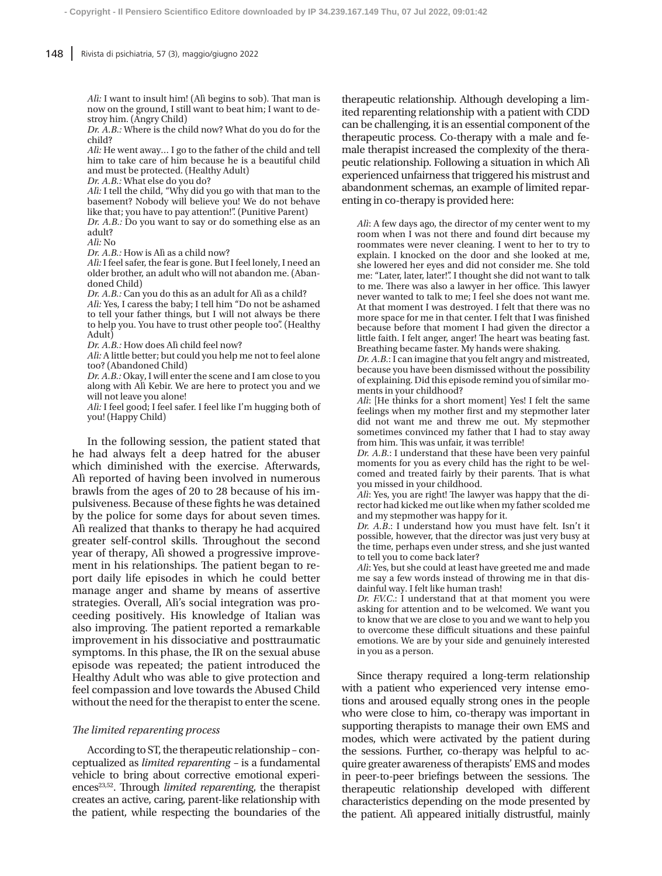*Alì:* I want to insult him! (Alì begins to sob). That man is now on the ground, I still want to beat him; I want to destroy him. (Angry Child)

**- Copyright - Il Pensiero Scientifico Editore downloaded by IP 34.239.167.149 Thu, 07 Jul 2022, 09:01:42**

*Dr. A.B.:* Where is the child now? What do you do for the child?

*Alì:* He went away… I go to the father of the child and tell him to take care of him because he is a beautiful child and must be protected. (Healthy Adult)

*Dr. A.B.:* What else do you do?

*Alì:* I tell the child, "Why did you go with that man to the basement? Nobody will believe you! We do not behave like that; you have to pay attention!". (Punitive Parent)

*Dr. A.B.:* Do you want to say or do something else as an adult?

*Alì:* No

*Dr. A.B.:* How is Alì as a child now?

*Alì:* I feel safer, the fear is gone. But I feel lonely, I need an older brother, an adult who will not abandon me. (Abandoned Child)

*Dr. A.B.:* Can you do this as an adult for Alì as a child? *Alì:* Yes, I caress the baby; I tell him "Do not be ashamed to tell your father things, but I will not always be there to help you. You have to trust other people too". (Healthy Adult)

*Dr. A.B.:* How does Alì child feel now?

*Alì:* A little better; but could you help me not to feel alone too? (Abandoned Child)

*Dr. A.B.:* Okay, I will enter the scene and I am close to you along with Alì Kebir. We are here to protect you and we will not leave you alone!

*Alì:* I feel good; I feel safer. I feel like I'm hugging both of you! (Happy Child)

In the following session, the patient stated that he had always felt a deep hatred for the abuser which diminished with the exercise. Afterwards, Alì reported of having been involved in numerous brawls from the ages of 20 to 28 because of his impulsiveness. Because of these fights he was detained by the police for some days for about seven times. Alì realized that thanks to therapy he had acquired greater self-control skills. Throughout the second year of therapy, Alì showed a progressive improvement in his relationships. The patient began to report daily life episodes in which he could better manage anger and shame by means of assertive strategies. Overall, Alì's social integration was proceeding positively. His knowledge of Italian was also improving. The patient reported a remarkable improvement in his dissociative and posttraumatic symptoms. In this phase, the IR on the sexual abuse episode was repeated; the patient introduced the Healthy Adult who was able to give protection and feel compassion and love towards the Abused Child without the need for the therapist to enter the scene.

## *The limited reparenting process*

According to ST, the therapeutic relationship – conceptualized as *limited reparenting –* is a fundamental vehicle to bring about corrective emotional experiences<sup>23,52</sup>. Through *limited reparenting*, the therapist creates an active, caring, parent-like relationship with the patient, while respecting the boundaries of the

therapeutic relationship. Although developing a limited reparenting relationship with a patient with CDD can be challenging, it is an essential component of the therapeutic process. Co-therapy with a male and female therapist increased the complexity of the therapeutic relationship. Following a situation in which Alì experienced unfairness that triggered his mistrust and abandonment schemas, an example of limited reparenting in co-therapy is provided here:

*Alì*: A few days ago, the director of my center went to my room when I was not there and found dirt because my roommates were never cleaning. I went to her to try to explain. I knocked on the door and she looked at me, she lowered her eyes and did not consider me. She told me: "Later, later, later!". I thought she did not want to talk to me. There was also a lawyer in her office. This lawyer never wanted to talk to me; I feel she does not want me. At that moment I was destroyed. I felt that there was no more space for me in that center. I felt that I was finished because before that moment I had given the director a little faith. I felt anger, anger! The heart was beating fast. Breathing became faster. My hands were shaking.

*Dr. A.B.*: I can imagine that you felt angry and mistreated, because you have been dismissed without the possibility of explaining. Did this episode remind you of similar moments in your childhood?

*Alì*: [He thinks for a short moment] Yes! I felt the same feelings when my mother first and my stepmother later did not want me and threw me out. My stepmother sometimes convinced my father that I had to stay away from him. This was unfair, it was terrible!

*Dr. A.B.*: I understand that these have been very painful moments for you as every child has the right to be welcomed and treated fairly by their parents. That is what you missed in your childhood.

*Alì*: Yes, you are right! The lawyer was happy that the director had kicked me out like when my father scolded me and my stepmother was happy for it.

*Dr. A.B*.: I understand how you must have felt. Isn't it possible, however, that the director was just very busy at the time, perhaps even under stress, and she just wanted to tell you to come back later?

*Alì*: Yes, but she could at least have greeted me and made me say a few words instead of throwing me in that disdainful way. I felt like human trash!

*Dr. F.V.C.*: I understand that at that moment you were asking for attention and to be welcomed. We want you to know that we are close to you and we want to help you to overcome these difficult situations and these painful emotions. We are by your side and genuinely interested in you as a person.

Since therapy required a long-term relationship with a patient who experienced very intense emotions and aroused equally strong ones in the people who were close to him, co-therapy was important in supporting therapists to manage their own EMS and modes, which were activated by the patient during the sessions. Further, co-therapy was helpful to acquire greater awareness of therapists' EMS and modes in peer-to-peer briefings between the sessions. The therapeutic relationship developed with different characteristics depending on the mode presented by the patient. Alì appeared initially distrustful, mainly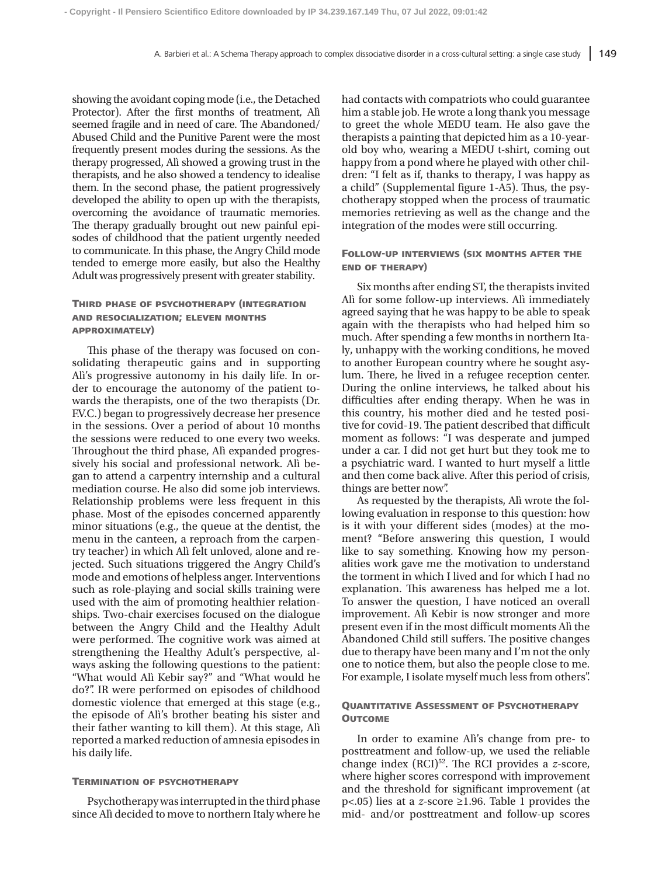showing the avoidant coping mode (i.e., the Detached Protector). After the first months of treatment, Alì seemed fragile and in need of care. The Abandoned/ Abused Child and the Punitive Parent were the most frequently present modes during the sessions. As the therapy progressed, Alì showed a growing trust in the therapists, and he also showed a tendency to idealise them. In the second phase, the patient progressively developed the ability to open up with the therapists, overcoming the avoidance of traumatic memories. The therapy gradually brought out new painful episodes of childhood that the patient urgently needed to communicate. In this phase, the Angry Child mode tended to emerge more easily, but also the Healthy Adult was progressively present with greater stability.

# Third phase of psychotherapy (integration and resocialization; eleven months approximately)

This phase of the therapy was focused on consolidating therapeutic gains and in supporting Alì's progressive autonomy in his daily life. In order to encourage the autonomy of the patient towards the therapists, one of the two therapists (Dr. F.V.C.) began to progressively decrease her presence in the sessions. Over a period of about 10 months the sessions were reduced to one every two weeks. Throughout the third phase, Alì expanded progressively his social and professional network. Alì began to attend a carpentry internship and a cultural mediation course. He also did some job interviews. Relationship problems were less frequent in this phase. Most of the episodes concerned apparently minor situations (e.g., the queue at the dentist, the menu in the canteen, a reproach from the carpentry teacher) in which Alì felt unloved, alone and rejected. Such situations triggered the Angry Child's mode and emotions of helpless anger. Interventions such as role-playing and social skills training were used with the aim of promoting healthier relationships. Two-chair exercises focused on the dialogue between the Angry Child and the Healthy Adult were performed. The cognitive work was aimed at strengthening the Healthy Adult's perspective, always asking the following questions to the patient: "What would Alì Kebir say?" and "What would he do?". IR were performed on episodes of childhood domestic violence that emerged at this stage (e.g., the episode of Alì's brother beating his sister and their father wanting to kill them). At this stage, Alì reported a marked reduction of amnesia episodes in his daily life.

#### Termination of psychotherapy

Psychotherapy was interrupted in the third phase since Alì decided to move to northern Italy where he had contacts with compatriots who could guarantee him a stable job. He wrote a long thank you message to greet the whole MEDU team. He also gave the therapists a painting that depicted him as a 10-yearold boy who, wearing a MEDU t-shirt, coming out happy from a pond where he played with other children: "I felt as if, thanks to therapy, I was happy as a child" (Supplemental figure 1-A5). Thus, the psychotherapy stopped when the process of traumatic memories retrieving as well as the change and the integration of the modes were still occurring.

# Follow-up interviews (six months after the end of therapy)

Six months after ending ST, the therapists invited Alì for some follow-up interviews. Alì immediately agreed saying that he was happy to be able to speak again with the therapists who had helped him so much. After spending a few months in northern Italy, unhappy with the working conditions, he moved to another European country where he sought asylum. There, he lived in a refugee reception center. During the online interviews, he talked about his difficulties after ending therapy. When he was in this country, his mother died and he tested positive for covid-19. The patient described that difficult moment as follows: "I was desperate and jumped under a car. I did not get hurt but they took me to a psychiatric ward. I wanted to hurt myself a little and then come back alive. After this period of crisis, things are better now".

As requested by the therapists, Alì wrote the following evaluation in response to this question: how is it with your different sides (modes) at the moment? "Before answering this question, I would like to say something. Knowing how my personalities work gave me the motivation to understand the torment in which I lived and for which I had no explanation. This awareness has helped me a lot. To answer the question, I have noticed an overall improvement. Alì Kebir is now stronger and more present even if in the most difficult moments Alì the Abandoned Child still suffers. The positive changes due to therapy have been many and I'm not the only one to notice them, but also the people close to me. For example, I isolate myself much less from others".

## Quantitative Assessment of Psychotherapy **OUTCOME**

In order to examine Alì's change from pre- to posttreatment and follow-up, we used the reliable change index (RCI)52. The RCI provides a *z*-score, where higher scores correspond with improvement and the threshold for significant improvement (at p<.05) lies at a *z*-score ≥1.96. Table 1 provides the mid- and/or posttreatment and follow-up scores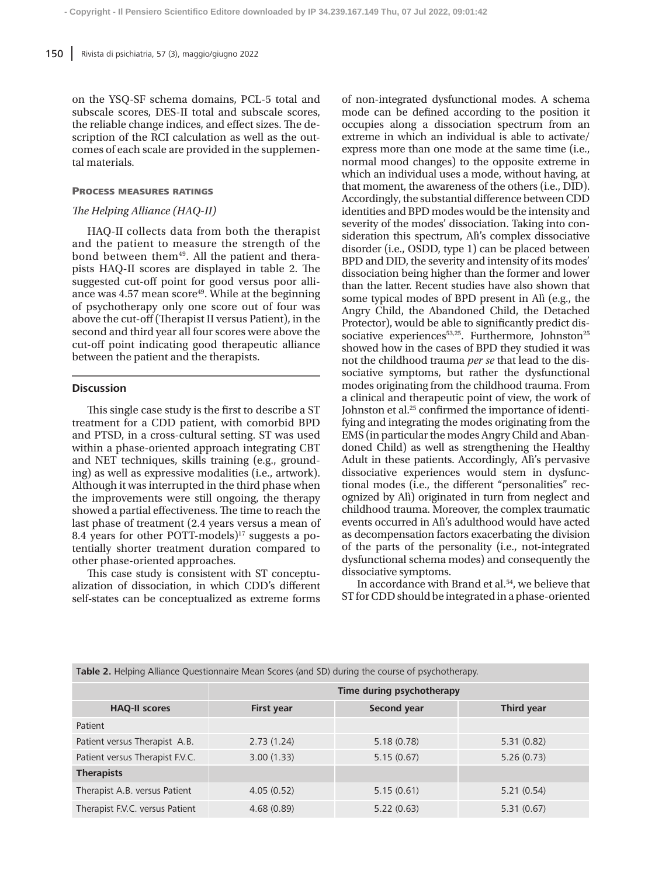on the YSQ-SF schema domains, PCL-5 total and subscale scores, DES-II total and subscale scores, the reliable change indices, and effect sizes. The description of the RCI calculation as well as the outcomes of each scale are provided in the supplemental materials.

## Process measures ratings

# *The Helping Alliance (HAQ-II)*

HAQ-II collects data from both the therapist and the patient to measure the strength of the bond between them<sup>49</sup>. All the patient and therapists HAQ-II scores are displayed in table 2. The suggested cut-off point for good versus poor alliance was  $4.57$  mean score<sup>49</sup>. While at the beginning of psychotherapy only one score out of four was above the cut-off (Therapist II versus Patient), in the second and third year all four scores were above the cut-off point indicating good therapeutic alliance between the patient and the therapists.

# **Discussion**

This single case study is the first to describe a ST treatment for a CDD patient, with comorbid BPD and PTSD, in a cross-cultural setting. ST was used within a phase-oriented approach integrating CBT and NET techniques, skills training (e.g., grounding) as well as expressive modalities (i.e., artwork). Although it was interrupted in the third phase when the improvements were still ongoing, the therapy showed a partial effectiveness. The time to reach the last phase of treatment (2.4 years versus a mean of 8.4 years for other POTT-models) $17$  suggests a potentially shorter treatment duration compared to other phase-oriented approaches.

This case study is consistent with ST conceptualization of dissociation, in which CDD's different self-states can be conceptualized as extreme forms of non-integrated dysfunctional modes. A schema mode can be defined according to the position it occupies along a dissociation spectrum from an extreme in which an individual is able to activate/ express more than one mode at the same time (i.e., normal mood changes) to the opposite extreme in which an individual uses a mode, without having, at that moment, the awareness of the others (i.e., DID). Accordingly, the substantial difference between CDD identities and BPD modes would be the intensity and severity of the modes' dissociation. Taking into consideration this spectrum, Alì's complex dissociative disorder (i.e., OSDD, type 1) can be placed between BPD and DID, the severity and intensity of its modes' dissociation being higher than the former and lower than the latter. Recent studies have also shown that some typical modes of BPD present in Alì (e.g., the Angry Child, the Abandoned Child, the Detached Protector), would be able to significantly predict dissociative experiences $53,25$ . Furthermore, Johnston<sup>25</sup> showed how in the cases of BPD they studied it was not the childhood trauma *per se* that lead to the dissociative symptoms, but rather the dysfunctional modes originating from the childhood trauma. From a clinical and therapeutic point of view, the work of Johnston et al.25 confirmed the importance of identifying and integrating the modes originating from the EMS (in particular the modes Angry Child and Abandoned Child) as well as strengthening the Healthy Adult in these patients. Accordingly, Alì's pervasive dissociative experiences would stem in dysfunctional modes (i.e., the different "personalities" recognized by Alì) originated in turn from neglect and childhood trauma. Moreover, the complex traumatic events occurred in Alì's adulthood would have acted as decompensation factors exacerbating the division of the parts of the personality (i.e., not-integrated dysfunctional schema modes) and consequently the dissociative symptoms.

In accordance with Brand et al.<sup>54</sup>, we believe that ST for CDD should be integrated in a phase-oriented

| Table 2. Helping Alliance Questionnaire Mean Scores (and SD) during the course of psychotherapy. |                           |                    |            |  |  |  |
|--------------------------------------------------------------------------------------------------|---------------------------|--------------------|------------|--|--|--|
|                                                                                                  | Time during psychotherapy |                    |            |  |  |  |
| <b>HAQ-II scores</b>                                                                             | <b>First year</b>         | <b>Second year</b> | Third year |  |  |  |
| Patient                                                                                          |                           |                    |            |  |  |  |
| Patient versus Therapist A.B.                                                                    | 2.73(1.24)                | 5.18(0.78)         | 5.31(0.82) |  |  |  |
| Patient versus Therapist F.V.C.                                                                  | 3.00(1.33)                | 5.15(0.67)         | 5.26(0.73) |  |  |  |
| <b>Therapists</b>                                                                                |                           |                    |            |  |  |  |
| Therapist A.B. versus Patient                                                                    | 4.05(0.52)                | 5.15(0.61)         | 5.21(0.54) |  |  |  |
| Therapist F.V.C. versus Patient                                                                  | 4.68(0.89)                | 5.22(0.63)         | 5.31(0.67) |  |  |  |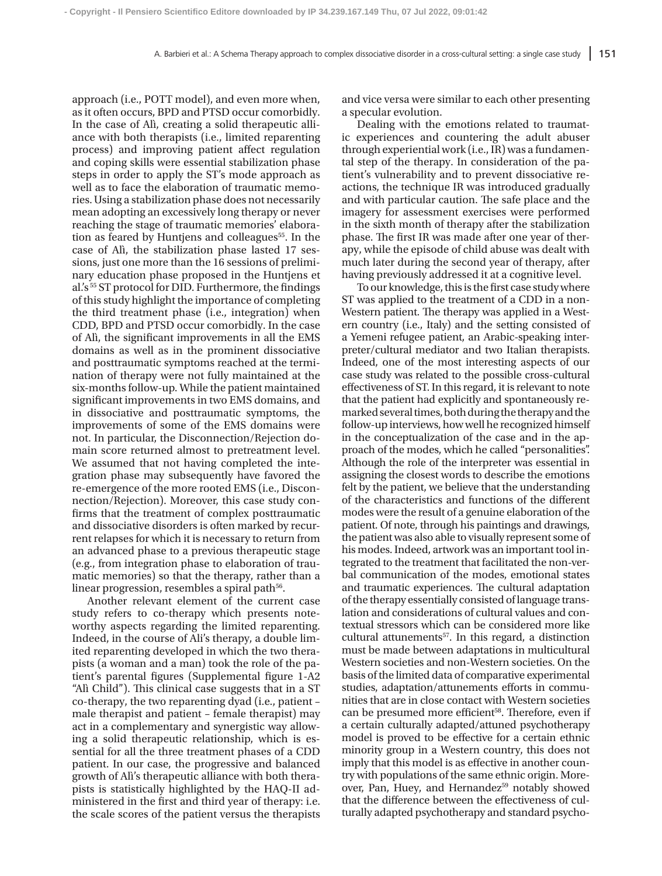approach (i.e., POTT model), and even more when, as it often occurs, BPD and PTSD occur comorbidly. In the case of Alì, creating a solid therapeutic alliance with both therapists (i.e., limited reparenting process) and improving patient affect regulation and coping skills were essential stabilization phase steps in order to apply the ST's mode approach as well as to face the elaboration of traumatic memories. Using a stabilization phase does not necessarily mean adopting an excessively long therapy or never reaching the stage of traumatic memories' elaboration as feared by Huntjens and colleagues<sup>55</sup>. In the case of Alì, the stabilization phase lasted 17 sessions, just one more than the 16 sessions of preliminary education phase proposed in the Huntjens et al.'s 55 ST protocol for DID. Furthermore, the findings of this study highlight the importance of completing the third treatment phase (i.e., integration) when CDD, BPD and PTSD occur comorbidly. In the case of Alì, the significant improvements in all the EMS domains as well as in the prominent dissociative and posttraumatic symptoms reached at the termination of therapy were not fully maintained at the six-months follow-up. While the patient maintained significant improvements in two EMS domains, and in dissociative and posttraumatic symptoms, the improvements of some of the EMS domains were not. In particular, the Disconnection/Rejection domain score returned almost to pretreatment level. We assumed that not having completed the integration phase may subsequently have favored the re-emergence of the more rooted EMS (i.e., Disconnection/Rejection). Moreover, this case study confirms that the treatment of complex posttraumatic and dissociative disorders is often marked by recurrent relapses for which it is necessary to return from an advanced phase to a previous therapeutic stage (e.g., from integration phase to elaboration of traumatic memories) so that the therapy, rather than a linear progression, resembles a spiral path<sup>56</sup>.

Another relevant element of the current case study refers to co-therapy which presents noteworthy aspects regarding the limited reparenting. Indeed, in the course of Ali's therapy, a double limited reparenting developed in which the two therapists (a woman and a man) took the role of the patient's parental figures (Supplemental figure 1-A2 "Alì Child"). This clinical case suggests that in a ST co-therapy, the two reparenting dyad (i.e., patient – male therapist and patient – female therapist) may act in a complementary and synergistic way allowing a solid therapeutic relationship, which is essential for all the three treatment phases of a CDD patient. In our case, the progressive and balanced growth of Alì's therapeutic alliance with both therapists is statistically highlighted by the HAQ-II administered in the first and third year of therapy: i.e. the scale scores of the patient versus the therapists and vice versa were similar to each other presenting a specular evolution.

Dealing with the emotions related to traumatic experiences and countering the adult abuser through experiential work (i.e., IR) was a fundamental step of the therapy. In consideration of the patient's vulnerability and to prevent dissociative reactions, the technique IR was introduced gradually and with particular caution. The safe place and the imagery for assessment exercises were performed in the sixth month of therapy after the stabilization phase. The first IR was made after one year of therapy, while the episode of child abuse was dealt with much later during the second year of therapy, after having previously addressed it at a cognitive level.

To our knowledge, this is the first case study where ST was applied to the treatment of a CDD in a non-Western patient. The therapy was applied in a Western country (i.e., Italy) and the setting consisted of a Yemeni refugee patient, an Arabic-speaking interpreter/cultural mediator and two Italian therapists. Indeed, one of the most interesting aspects of our case study was related to the possible cross-cultural effectiveness of ST. In this regard, it is relevant to note that the patient had explicitly and spontaneously remarked several times, both during the therapy and the follow-up interviews, how well he recognized himself in the conceptualization of the case and in the approach of the modes, which he called "personalities". Although the role of the interpreter was essential in assigning the closest words to describe the emotions felt by the patient, we believe that the understanding of the characteristics and functions of the different modes were the result of a genuine elaboration of the patient. Of note, through his paintings and drawings, the patient was also able to visually represent some of his modes. Indeed, artwork was an important tool integrated to the treatment that facilitated the non-verbal communication of the modes, emotional states and traumatic experiences. The cultural adaptation of the therapy essentially consisted of language translation and considerations of cultural values and contextual stressors which can be considered more like cultural attunements<sup>57</sup>. In this regard, a distinction must be made between adaptations in multicultural Western societies and non-Western societies. On the basis of the limited data of comparative experimental studies, adaptation/attunements efforts in communities that are in close contact with Western societies can be presumed more efficient<sup>58</sup>. Therefore, even if a certain culturally adapted/attuned psychotherapy model is proved to be effective for a certain ethnic minority group in a Western country, this does not imply that this model is as effective in another country with populations of the same ethnic origin. Moreover, Pan, Huey, and Hernandez<sup>59</sup> notably showed that the difference between the effectiveness of culturally adapted psychotherapy and standard psycho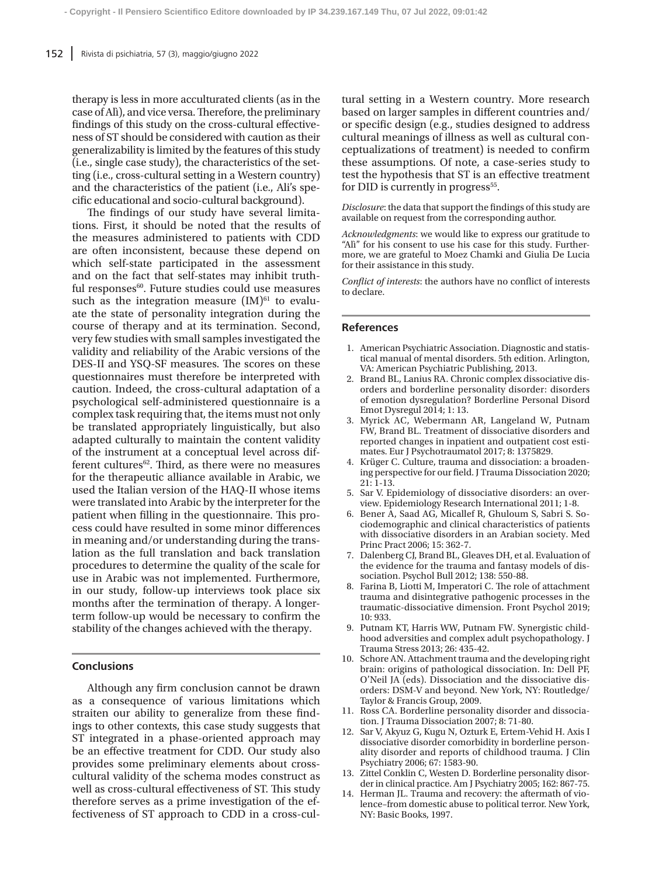therapy is less in more acculturated clients (as in the case of Alì), and vice versa. Therefore, the preliminary findings of this study on the cross-cultural effectiveness of ST should be considered with caution as their generalizability is limited by the features of this study (i.e., single case study), the characteristics of the setting (i.e., cross-cultural setting in a Western country) and the characteristics of the patient (i.e., Ali's specific educational and socio-cultural background).

The findings of our study have several limitations. First, it should be noted that the results of the measures administered to patients with CDD are often inconsistent, because these depend on which self-state participated in the assessment and on the fact that self-states may inhibit truthful responses<sup>60</sup>. Future studies could use measures such as the integration measure  $(M)$ <sup>61</sup> to evaluate the state of personality integration during the course of therapy and at its termination. Second, very few studies with small samples investigated the validity and reliability of the Arabic versions of the DES-II and YSQ-SF measures. The scores on these questionnaires must therefore be interpreted with caution. Indeed, the cross-cultural adaptation of a psychological self-administered questionnaire is a complex task requiring that, the items must not only be translated appropriately linguistically, but also adapted culturally to maintain the content validity of the instrument at a conceptual level across different cultures $62$ . Third, as there were no measures for the therapeutic alliance available in Arabic, we used the Italian version of the HAQ-II whose items were translated into Arabic by the interpreter for the patient when filling in the questionnaire. This process could have resulted in some minor differences in meaning and/or understanding during the translation as the full translation and back translation procedures to determine the quality of the scale for use in Arabic was not implemented. Furthermore, in our study, follow-up interviews took place six months after the termination of therapy. A longerterm follow-up would be necessary to confirm the stability of the changes achieved with the therapy.

## **Conclusions**

Although any firm conclusion cannot be drawn as a consequence of various limitations which straiten our ability to generalize from these findings to other contexts, this case study suggests that ST integrated in a phase-oriented approach may be an effective treatment for CDD. Our study also provides some preliminary elements about crosscultural validity of the schema modes construct as well as cross-cultural effectiveness of ST. This study therefore serves as a prime investigation of the effectiveness of ST approach to CDD in a cross-cultural setting in a Western country. More research based on larger samples in different countries and/ or specific design (e.g., studies designed to address cultural meanings of illness as well as cultural conceptualizations of treatment) is needed to confirm these assumptions. Of note, a case-series study to test the hypothesis that ST is an effective treatment for DID is currently in progress<sup>55</sup>.

*Disclosure*: the data that support the findings of this study are available on request from the corresponding author.

*Acknowledgments*: we would like to express our gratitude to "Alì" for his consent to use his case for this study. Furthermore, we are grateful to Moez Chamki and Giulia De Lucia for their assistance in this study.

*Conflict of interests*: the authors have no conflict of interests to declare.

## **References**

- 1. American Psychiatric Association. Diagnostic and statistical manual of mental disorders. 5th edition. Arlington, VA: American Psychiatric Publishing, 2013.
- 2. Brand BL, Lanius RA. Chronic complex dissociative disorders and borderline personality disorder: disorders of emotion dysregulation? Borderline Personal Disord Emot Dysregul 2014; 1: 13.
- 3. Myrick AC, Webermann AR, Langeland W, Putnam FW, Brand BL. Treatment of dissociative disorders and reported changes in inpatient and outpatient cost estimates. Eur J Psychotraumatol 2017; 8: 1375829.
- 4. Krüger C. Culture, trauma and dissociation: a broadening perspective for our field. J Trauma Dissociation 2020; 21: 1-13.
- 5. Sar V. Epidemiology of dissociative disorders: an overview. Epidemiology Research International 2011; 1-8.
- 6. Bener A, Saad AG, Micallef R, Ghuloum S, Sabri S. Sociodemographic and clinical characteristics of patients with dissociative disorders in an Arabian society. Med Princ Pract 2006; 15: 362-7.
- 7. Dalenberg CJ, Brand BL, Gleaves DH, et al. Evaluation of the evidence for the trauma and fantasy models of dissociation. Psychol Bull 2012; 138: 550-88.
- 8. Farina B, Liotti M, Imperatori C. The role of attachment trauma and disintegrative pathogenic processes in the traumatic-dissociative dimension. Front Psychol 2019; 10: 933.
- 9. Putnam KT, Harris WW, Putnam FW. Synergistic childhood adversities and complex adult psychopathology. J Trauma Stress 2013; 26: 435-42.
- 10. Schore AN. Attachment trauma and the developing right brain: origins of pathological dissociation. In: Dell PF, O'Neil JA (eds). Dissociation and the dissociative disorders: DSM-V and beyond. New York, NY: Routledge/ Taylor & Francis Group, 2009.
- 11. Ross CA. Borderline personality disorder and dissociation. J Trauma Dissociation 2007; 8: 71-80.
- 12. Sar V, Akyuz G, Kugu N, Ozturk E, Ertem-Vehid H. Axis I dissociative disorder comorbidity in borderline personality disorder and reports of childhood trauma. J Clin Psychiatry 2006; 67: 1583-90.
- 13. Zittel Conklin C, Westen D. Borderline personality disorder in clinical practice. Am J Psychiatry 2005; 162: 867-75.
- 14. Herman JL. Trauma and recovery: the aftermath of violence–from domestic abuse to political terror. New York, NY: Basic Books, 1997.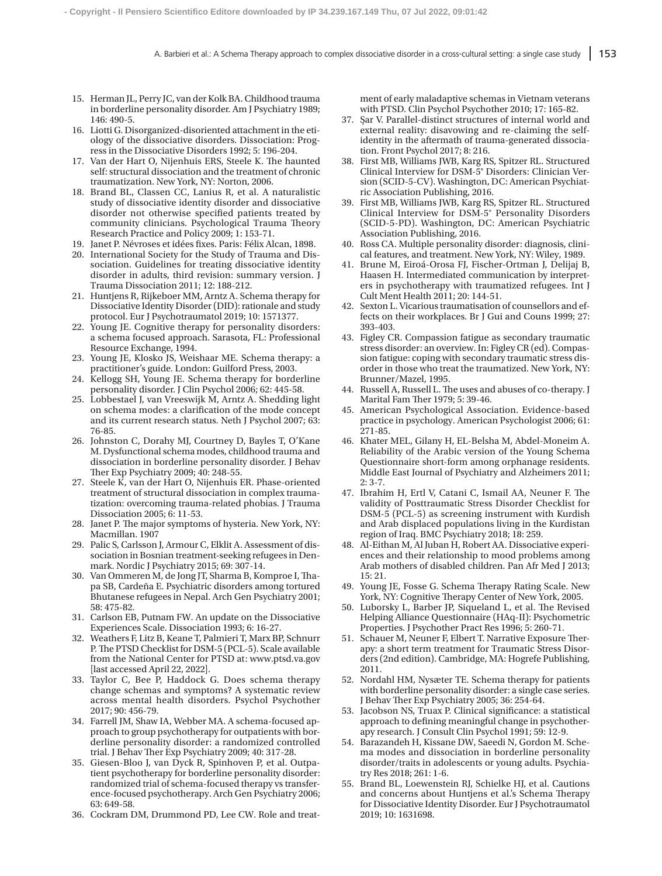- 15. Herman JL, Perry JC, van der Kolk BA. Childhood trauma in borderline personality disorder. Am J Psychiatry 1989; 146: 490-5.
- 16. Liotti G. Disorganized-disoriented attachment in the etiology of the dissociative disorders. Dissociation: Progress in the Dissociative Disorders 1992; 5: 196-204.
- 17. Van der Hart O, Nijenhuis ERS, Steele K. The haunted self: structural dissociation and the treatment of chronic traumatization. New York, NY: Norton, 2006.
- 18. Brand BL, Classen CC, Lanius R, et al. A naturalistic study of dissociative identity disorder and dissociative disorder not otherwise specified patients treated by community clinicians. Psychological Trauma Theory Research Practice and Policy 2009; 1: 153-71.
- 19. Janet P. Névroses et idées fixes. Paris: Félix Alcan, 1898.
- 20. International Society for the Study of Trauma and Dissociation. Guidelines for treating dissociative identity disorder in adults, third revision: summary version. J Trauma Dissociation 2011; 12: 188-212.
- 21. Huntjens R, Rijkeboer MM, Arntz A. Schema therapy for Dissociative Identity Disorder (DID): rationale and study protocol. Eur J Psychotraumatol 2019; 10: 1571377.
- 22. Young JE. Cognitive therapy for personality disorders: a schema focused approach. Sarasota, FL: Professional Resource Exchange, 1994.
- 23. Young JE, Klosko JS, Weishaar ME. Schema therapy: a practitioner's guide. London: Guilford Press, 2003.
- 24. Kellogg SH, Young JE. Schema therapy for borderline personality disorder. J Clin Psychol 2006; 62: 445-58.
- 25. Lobbestael J, van Vreeswijk M, Arntz A. Shedding light on schema modes: a clarification of the mode concept and its current research status. Neth J Psychol 2007; 63: 76-85.
- 26. Johnston C, Dorahy MJ, Courtney D, Bayles T, O'Kane M. Dysfunctional schema modes, childhood trauma and dissociation in borderline personality disorder. J Behav Ther Exp Psychiatry 2009; 40: 248-55.
- 27. Steele K, van der Hart O, Nijenhuis ER. Phase-oriented treatment of structural dissociation in complex traumatization: overcoming trauma-related phobias. J Trauma Dissociation 2005; 6: 11-53.
- 28. Janet P. The major symptoms of hysteria. New York, NY: Macmillan. 1907
- 29. Palic S, Carlsson J, Armour C, Elklit A. Assessment of dissociation in Bosnian treatment-seeking refugees in Denmark. Nordic J Psychiatry 2015; 69: 307-14.
- 30. Van Ommeren M, de Jong JT, Sharma B, Komproe I, Thapa SB, Cardeña E. Psychiatric disorders among tortured Bhutanese refugees in Nepal. Arch Gen Psychiatry 2001; 58: 475-82.
- 31. Carlson EB, Putnam FW. An update on the Dissociative Experiences Scale. Dissociation 1993; 6: 16-27.
- 32. Weathers F, Litz B, Keane T, Palmieri T, Marx BP, Schnurr P. The PTSD Checklist for DSM-5 (PCL-5). Scale available from the National Center for PTSD at: www.ptsd.va.gov [last accessed April 22, 2022].
- 33. Taylor C, Bee P, Haddock G. Does schema therapy change schemas and symptoms? A systematic review across mental health disorders. Psychol Psychother 2017; 90: 456-79.
- 34. Farrell JM, Shaw IA, Webber MA. A schema-focused approach to group psychotherapy for outpatients with borderline personality disorder: a randomized controlled trial. J Behav Ther Exp Psychiatry 2009; 40: 317-28.
- 35. Giesen-Bloo J, van Dyck R, Spinhoven P, et al. Outpatient psychotherapy for borderline personality disorder: randomized trial of schema-focused therapy vs transference-focused psychotherapy. Arch Gen Psychiatry 2006; 63: 649-58.
- 36. Cockram DM, Drummond PD, Lee CW. Role and treat-

ment of early maladaptive schemas in Vietnam veterans with PTSD. Clin Psychol Psychother 2010; 17: 165-82.

- 37. Sar V. Parallel-distinct structures of internal world and external reality: disavowing and re-claiming the selfidentity in the aftermath of trauma-generated dissociation. Front Psychol 2017; 8: 216.
- 38. First MB, Williams JWB, Karg RS, Spitzer RL. Structured Clinical Interview for DSM-5® Disorders: Clinician Version (SCID-5-CV). Washington, DC: American Psychiatric Association Publishing, 2016.
- 39. First MB, Williams JWB, Karg RS, Spitzer RL. Structured Clinical Interview for DSM-5® Personality Disorders (SCID-5-PD). Washington, DC: American Psychiatric Association Publishing, 2016.
- 40. Ross CA. Multiple personality disorder: diagnosis, clinical features, and treatment. New York, NY: Wiley, 1989.
- 41. Brune M, Eiroá-Orosa FJ, Fischer-Ortman J, Delijaj B, Haasen H. Intermediated communication by interpreters in psychotherapy with traumatized refugees. Int J Cult Ment Health 2011; 20: 144-51.
- 42. Sexton L. Vicarious traumatisation of counsellors and effects on their workplaces. Br J Gui and Couns 1999; 27: 393-403.
- 43. Figley CR. Compassion fatigue as secondary traumatic stress disorder: an overview. In: Figley CR (ed). Compassion fatigue: coping with secondary traumatic stress disorder in those who treat the traumatized. New York, NY: Brunner/Mazel, 1995.
- 44. Russell A, Russell L. The uses and abuses of co-therapy. J Marital Fam Ther 1979; 5: 39-46.
- 45. American Psychological Association. Evidence-based practice in psychology. American Psychologist 2006; 61: 271-85.
- 46. Khater MEL, Gilany H, EL-Belsha M, Abdel-Moneim A. Reliability of the Arabic version of the Young Schema Questionnaire short-form among orphanage residents. Middle East Journal of Psychiatry and Alzheimers 2011; 2: 3-7.
- 47. Ibrahim H, Ertl V, Catani C, Ismail AA, Neuner F. The validity of Posttraumatic Stress Disorder Checklist for DSM-5 (PCL-5) as screening instrument with Kurdish and Arab displaced populations living in the Kurdistan region of Iraq. BMC Psychiatry 2018; 18: 259.
- 48. Al-Eithan M, Al Juban H, Robert AA. Dissociative experiences and their relationship to mood problems among Arab mothers of disabled children. Pan Afr Med J 2013; 15: 21.
- 49. Young JE, Fosse G. Schema Therapy Rating Scale. New York, NY: Cognitive Therapy Center of New York, 2005.
- 50. Luborsky L, Barber JP, Siqueland L, et al. The Revised Helping Alliance Questionnaire (HAq-II): Psychometric Properties. J Psychother Pract Res 1996; 5: 260-71.
- 51. Schauer M, Neuner F, Elbert T. Narrative Exposure Therapy: a short term treatment for Traumatic Stress Disorders (2nd edition). Cambridge, MA: Hogrefe Publishing, 2011.
- 52. Nordahl HM, Nysæter TE. Schema therapy for patients with borderline personality disorder: a single case series. J Behav Ther Exp Psychiatry 2005; 36: 254-64.
- 53. Jacobson NS, Truax P. Clinical significance: a statistical approach to defining meaningful change in psychotherapy research. J Consult Clin Psychol 1991; 59: 12-9.
- 54. Barazandeh H, Kissane DW, Saeedi N, Gordon M. Schema modes and dissociation in borderline personality disorder/traits in adolescents or young adults. Psychiatry Res 2018; 261: 1-6.
- 55. Brand BL, Loewenstein RJ, Schielke HJ, et al. Cautions and concerns about Huntjens et al.'s Schema Therapy for Dissociative Identity Disorder. Eur J Psychotraumatol 2019; 10: 1631698.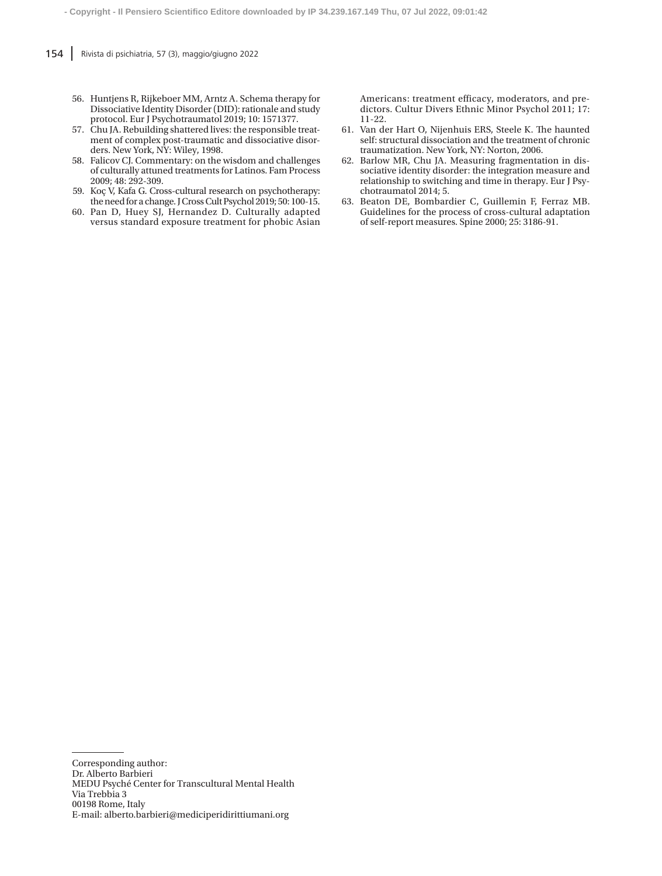- 56. Huntjens R, Rijkeboer MM, Arntz A. Schema therapy for Dissociative Identity Disorder (DID): rationale and study protocol. Eur J Psychotraumatol 2019; 10: 1571377.
- 57. Chu JA. Rebuilding shattered lives: the responsible treatment of complex post-traumatic and dissociative disorders. New York, NY: Wiley, 1998.
- 58. Falicov CJ. Commentary: on the wisdom and challenges of culturally attuned treatments for Latinos. Fam Process 2009; 48: 292-309.
- 59. Koç V, Kafa G. Cross-cultural research on psychotherapy: the need for a change. J Cross Cult Psychol 2019; 50: 100-15.
- 60. Pan D, Huey SJ, Hernandez D. Culturally adapted versus standard exposure treatment for phobic Asian

Americans: treatment efficacy, moderators, and predictors. Cultur Divers Ethnic Minor Psychol 2011; 17: 11-22.

- 61. Van der Hart O, Nijenhuis ERS, Steele K. The haunted self: structural dissociation and the treatment of chronic traumatization. New York, NY: Norton, 2006.
- 62. Barlow MR, Chu JA. Measuring fragmentation in dissociative identity disorder: the integration measure and relationship to switching and time in therapy. Eur J Psychotraumatol 2014; 5.
- 63. Beaton DE, Bombardier C, Guillemin F, Ferraz MB. Guidelines for the process of cross-cultural adaptation of self-report measures. Spine 2000; 25: 3186-91.

Corresponding author:

Dr. Alberto Barbieri MEDU Psyché Center for Transcultural Mental Health Via Trebbia 3 00198 Rome, Italy E-mail: alberto.barbieri@mediciperidirittiumani.org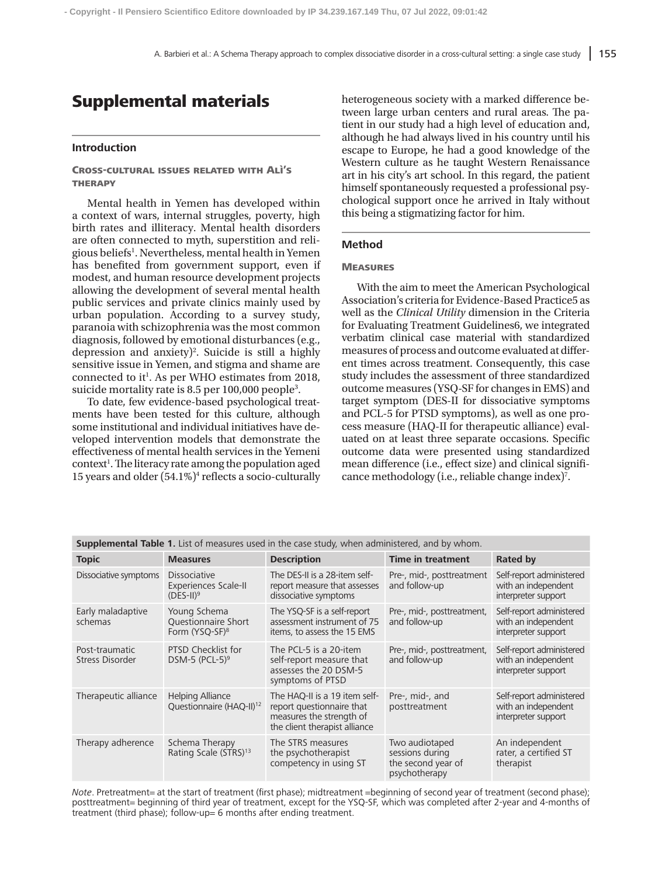# Supplemental materials

# **Introduction**

Cross-cultural issues related with Alì's **THERAPY** 

Mental health in Yemen has developed within a context of wars, internal struggles, poverty, high birth rates and illiteracy. Mental health disorders are often connected to myth, superstition and religious beliefs<sup>1</sup>. Nevertheless, mental health in Yemen has benefited from government support, even if modest, and human resource development projects allowing the development of several mental health public services and private clinics mainly used by urban population. According to a survey study, paranoia with schizophrenia was the most common diagnosis, followed by emotional disturbances (e.g., depression and anxiety)<sup>2</sup>. Suicide is still a highly sensitive issue in Yemen, and stigma and shame are connected to it<sup>1</sup>. As per WHO estimates from 2018, suicide mortality rate is 8.5 per 100,000 people<sup>3</sup>.

To date, few evidence-based psychological treatments have been tested for this culture, although some institutional and individual initiatives have developed intervention models that demonstrate the effectiveness of mental health services in the Yemeni context<sup>1</sup>. The literacy rate among the population aged 15 years and older (54.1%)<sup>4</sup> reflects a socio-culturally heterogeneous society with a marked difference between large urban centers and rural areas. The patient in our study had a high level of education and, although he had always lived in his country until his escape to Europe, he had a good knowledge of the Western culture as he taught Western Renaissance art in his city's art school. In this regard, the patient himself spontaneously requested a professional psychological support once he arrived in Italy without this being a stigmatizing factor for him.

## **Method**

#### **MEASURES**

With the aim to meet the American Psychological Association's criteria for Evidence-Based Practice5 as well as the *Clinical Utility* dimension in the Criteria for Evaluating Treatment Guidelines6, we integrated verbatim clinical case material with standardized measures of process and outcome evaluated at different times across treatment. Consequently, this case study includes the assessment of three standardized outcome measures (YSQ-SF for changes in EMS) and target symptom (DES-II for dissociative symptoms and PCL-5 for PTSD symptoms), as well as one process measure (HAQ-II for therapeutic alliance) evaluated on at least three separate occasions. Specific outcome data were presented using standardized mean difference (i.e., effect size) and clinical significance methodology (i.e., reliable change index)<sup>7</sup>.

| <b>Supplemental Table 1.</b> List of measures used in the case study, when administered, and by whom. |                                                                   |                                                                                                                         |                                                                          |                                                                        |  |  |
|-------------------------------------------------------------------------------------------------------|-------------------------------------------------------------------|-------------------------------------------------------------------------------------------------------------------------|--------------------------------------------------------------------------|------------------------------------------------------------------------|--|--|
| <b>Topic</b>                                                                                          | <b>Measures</b>                                                   | <b>Description</b>                                                                                                      | <b>Time in treatment</b>                                                 | <b>Rated by</b>                                                        |  |  |
| Dissociative symptoms                                                                                 | <b>Dissociative</b><br><b>Experiences Scale-II</b><br>$(DES-II)9$ | The DES-II is a 28-item self-<br>report measure that assesses<br>dissociative symptoms                                  | Pre-, mid-, posttreatment<br>and follow-up                               | Self-report administered<br>with an independent<br>interpreter support |  |  |
| Early maladaptive<br>schemas                                                                          | Young Schema<br>Questionnaire Short<br>Form (YSQ-SF) <sup>8</sup> | The YSQ-SF is a self-report<br>assessment instrument of 75<br>items, to assess the 15 EMS                               | Pre-, mid-, posttreatment,<br>and follow-up                              | Self-report administered<br>with an independent<br>interpreter support |  |  |
| Post-traumatic<br>Stress Disorder                                                                     | PTSD Checklist for<br>DSM-5 (PCL-5) <sup>9</sup>                  | The PCL-5 is a 20-item<br>self-report measure that<br>assesses the 20 DSM-5<br>symptoms of PTSD                         | Pre-, mid-, posttreatment,<br>and follow-up                              | Self-report administered<br>with an independent<br>interpreter support |  |  |
| Therapeutic alliance                                                                                  | <b>Helping Alliance</b><br>Questionnaire (HAQ-II) <sup>12</sup>   | The HAQ-II is a 19 item self-<br>report questionnaire that<br>measures the strength of<br>the client therapist alliance | Pre-, mid-, and<br>posttreatment                                         | Self-report administered<br>with an independent<br>interpreter support |  |  |
| Therapy adherence                                                                                     | Schema Therapy<br>Rating Scale (STRS) <sup>13</sup>               | The STRS measures<br>the psychotherapist<br>competency in using ST                                                      | Two audiotaped<br>sessions during<br>the second year of<br>psychotherapy | An independent<br>rater, a certified ST<br>therapist                   |  |  |

*Note*. Pretreatment= at the start of treatment (first phase); midtreatment =beginning of second year of treatment (second phase); posttreatment= beginning of third year of treatment, except for the YSQ-SF, which was completed after 2-year and 4-months of treatment (third phase); follow-up= 6 months after ending treatment.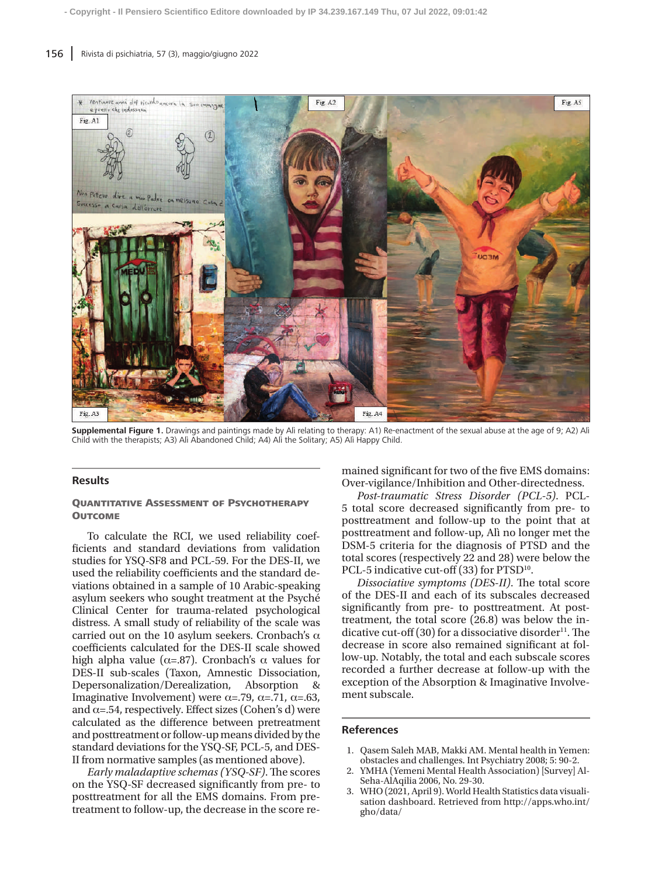

**Supplemental Figure 1.** Drawings and paintings made by Alì relating to therapy: A1) Re-enactment of the sexual abuse at the age of 9; A2) Alì Child with the therapists; A3) Alì Abandoned Child; A4) Alì the Solitary; A5) Alì Happy Child.

## **Results**

## Quantitative Assessment of Psychotherapy **OUTCOME**

To calculate the RCI, we used reliability coefficients and standard deviations from validation studies for YSQ-SF8 and PCL-59. For the DES-II, we used the reliability coefficients and the standard deviations obtained in a sample of 10 Arabic-speaking asylum seekers who sought treatment at the Psyché Clinical Center for trauma-related psychological distress. A small study of reliability of the scale was carried out on the 10 asylum seekers. Cronbach's  $\alpha$ coefficients calculated for the DES-II scale showed high alpha value ( $α=0.87$ ). Cronbach's α values for DES-II sub-scales (Taxon, Amnestic Dissociation, Depersonalization/Derealization, Absorption & Imaginative Involvement) were  $\alpha = .79$ ,  $\alpha = .71$ ,  $\alpha = .63$ , and  $\alpha$ =.54, respectively. Effect sizes (Cohen's d) were calculated as the difference between pretreatment and posttreatment or follow-up means divided by the standard deviations for the YSQ-SF, PCL-5, and DES-II from normative samples (as mentioned above).

*Early maladaptive schemas (YSQ-SF)*.The scores on the YSQ-SF decreased significantly from pre- to posttreatment for all the EMS domains. From pretreatment to follow-up, the decrease in the score remained significant for two of the five EMS domains: Over-vigilance/Inhibition and Other-directedness.

*Post-traumatic Stress Disorder (PCL-5)*. PCL-5 total score decreased significantly from pre- to posttreatment and follow-up to the point that at posttreatment and follow-up, Alì no longer met the DSM-5 criteria for the diagnosis of PTSD and the total scores (respectively 22 and 28) were below the PCL-5 indicative cut-off (33) for PTSD<sup>10</sup>.

*Dissociative symptoms (DES-II)*. The total score of the DES-II and each of its subscales decreased significantly from pre- to posttreatment. At posttreatment, the total score (26.8) was below the indicative cut-off  $(30)$  for a dissociative disorder<sup>11</sup>. The decrease in score also remained significant at follow-up. Notably, the total and each subscale scores recorded a further decrease at follow-up with the exception of the Absorption & Imaginative Involvement subscale.

#### **References**

- 1. Qasem Saleh MAB, Makki AM. Mental health in Yemen: obstacles and challenges. Int Psychiatry 2008; 5: 90-2.
- 2. YMHA (Yemeni Mental Health Association) [Survey] Al-Seha-AlAqilia 2006, No. 29-30.
- WHO (2021, April 9). World Health Statistics data visualisation dashboard. Retrieved from http://apps.who.int/ gho/data/